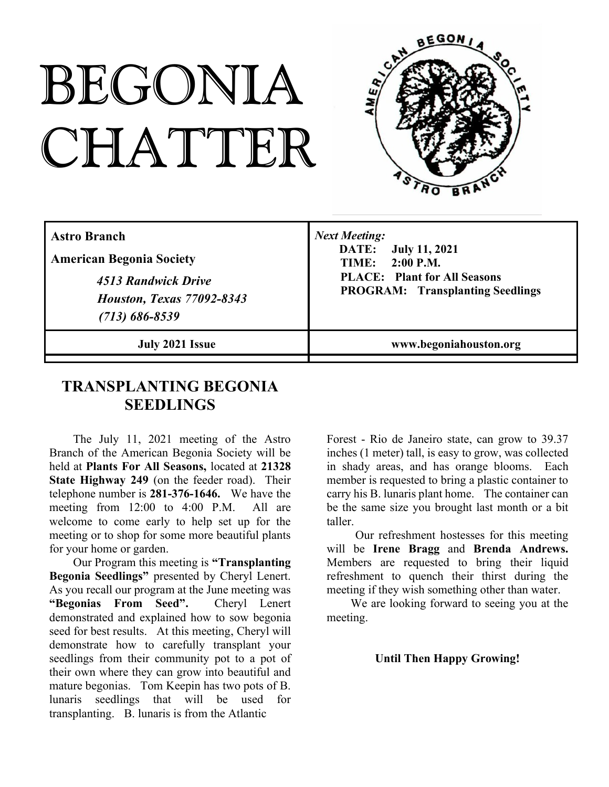# BEGONIA CHATTER



| <b>Astro Branch</b><br><b>American Begonia Society</b><br>4513 Randwick Drive<br><b>Houston, Texas 77092-8343</b><br>$(713) 686 - 8539$ | <b>Next Meeting:</b><br>DATE:<br><b>July 11, 2021</b><br><b>TIME:</b> 2:00 P.M.<br><b>PLACE:</b> Plant for All Seasons<br><b>PROGRAM:</b> Transplanting Seedlings |
|-----------------------------------------------------------------------------------------------------------------------------------------|-------------------------------------------------------------------------------------------------------------------------------------------------------------------|
| July 2021 Issue                                                                                                                         | www.begoniahouston.org                                                                                                                                            |

### **TRANSPLANTING BEGONIA SEEDLINGS**

The July 11, 2021 meeting of the Astro Branch of the American Begonia Society will be held at **Plants For All Seasons,** located at **21328 State Highway 249** (on the feeder road). Their telephone number is **281-376-1646.** We have the meeting from 12:00 to 4:00 P.M. All are welcome to come early to help set up for the meeting or to shop for some more beautiful plants for your home or garden.

Our Program this meeting is **"Transplanting Begonia Seedlings"** presented by Cheryl Lenert. As you recall our program at the June meeting was **"Begonias From Seed".** Cheryl Lenert demonstrated and explained how to sow begonia seed for best results. At this meeting, Cheryl will demonstrate how to carefully transplant your seedlings from their community pot to a pot of their own where they can grow into beautiful and mature begonias. Tom Keepin has two pots of B. lunaris seedlings that will be used for transplanting. B. lunaris is from the Atlantic

Forest - Rio de Janeiro state, can grow to 39.37 inches (1 meter) tall, is easy to grow, was collected in shady areas, and has orange blooms. Each member is requested to bring a plastic container to carry his B. lunaris plant home. The container can be the same size you brought last month or a bit taller.

Our refreshment hostesses for this meeting will be **Irene Bragg** and **Brenda Andrews.** Members are requested to bring their liquid refreshment to quench their thirst during the meeting if they wish something other than water.

We are looking forward to seeing you at the meeting.

#### **Until Then Happy Growing!**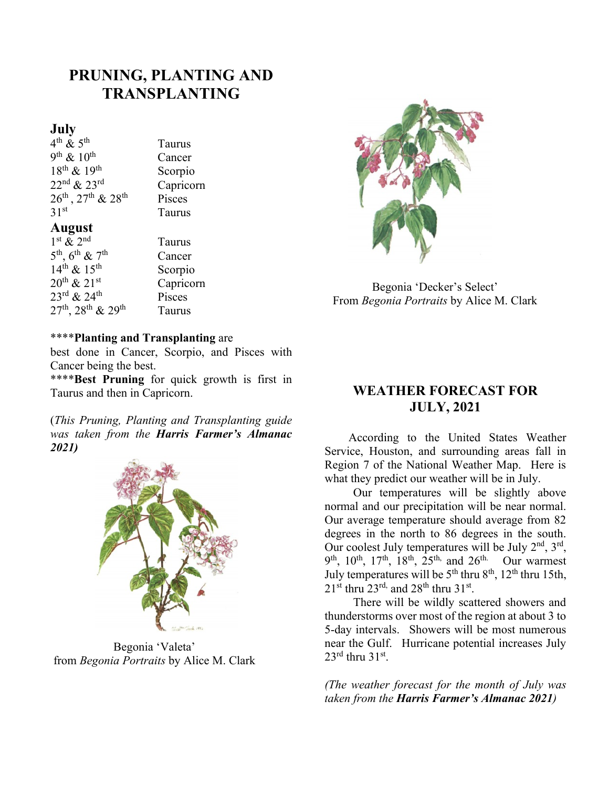## **PRUNING, PLANTING AND TRANSPLANTING**

**Taurus** 

#### **July**

 $4^{\text{th}} \& 5^{\text{th}}$  Taurus  $9<sup>th</sup>$  &  $10<sup>th</sup>$  Cancer  $18<sup>th</sup> \& 19<sup>th</sup>$  Scorpio  $22<sup>nd</sup> \& 23<sup>rd</sup>$  Capricorn  $26^{th}$ ,  $27^{th}$  &  $28^{th}$  Pisces<br> $31^{st}$  Taurus

#### **August**

| $1st$ & $2nd$                                       | Taurus    |
|-----------------------------------------------------|-----------|
| $5^{\text{th}}$ , $6^{\text{th}}$ & $7^{\text{th}}$ | Cancer    |
| $14^{th}$ & $15^{th}$                               | Scorpio   |
| $20^{th}$ & $21^{st}$                               | Capricorn |
| $23^{\text{rd}}$ & $24^{\text{th}}$                 | Pisces    |
| $27^{th}$ , $28^{th}$ & $29^{th}$                   | Taurus    |

#### \*\*\*\***Planting and Transplanting** are

best done in Cancer, Scorpio, and Pisces with Cancer being the best.

\*\*\*\***Best Pruning** for quick growth is first in Taurus and then in Capricorn.

(*This Pruning, Planting and Transplanting guide was taken from the Harris Farmer's Almanac 2021)*



Begonia 'Valeta' from *Begonia Portraits* by Alice M. Clark



Begonia 'Decker's Select' From *Begonia Portraits* by Alice M. Clark

#### **WEATHER FORECAST FOR JULY, 2021**

According to the United States Weather Service, Houston, and surrounding areas fall in Region 7 of the National Weather Map. Here is what they predict our weather will be in July.

Our temperatures will be slightly above normal and our precipitation will be near normal. Our average temperature should average from 82 degrees in the north to 86 degrees in the south. Our coolest July temperatures will be July  $2<sup>nd</sup>$ ,  $3<sup>rd</sup>$ ,  $9<sup>th</sup>$ ,  $10<sup>th</sup>$ ,  $17<sup>th</sup>$ ,  $18<sup>th</sup>$ ,  $25<sup>th</sup>$ , and  $26<sup>th</sup>$ . Our warmest July temperatures will be  $5<sup>th</sup>$  thru  $8<sup>th</sup>$ ,  $12<sup>th</sup>$  thru 15th,  $21^{\text{st}}$  thru  $23^{\text{rd}}$ , and  $28^{\text{th}}$  thru  $31^{\text{st}}$ .

There will be wildly scattered showers and thunderstorms over most of the region at about 3 to 5-day intervals. Showers will be most numerous near the Gulf. Hurricane potential increases July  $23^{\text{rd}}$  thru  $31^{\text{st}}$ .

*(The weather forecast for the month of July was taken from the Harris Farmer's Almanac 2021)*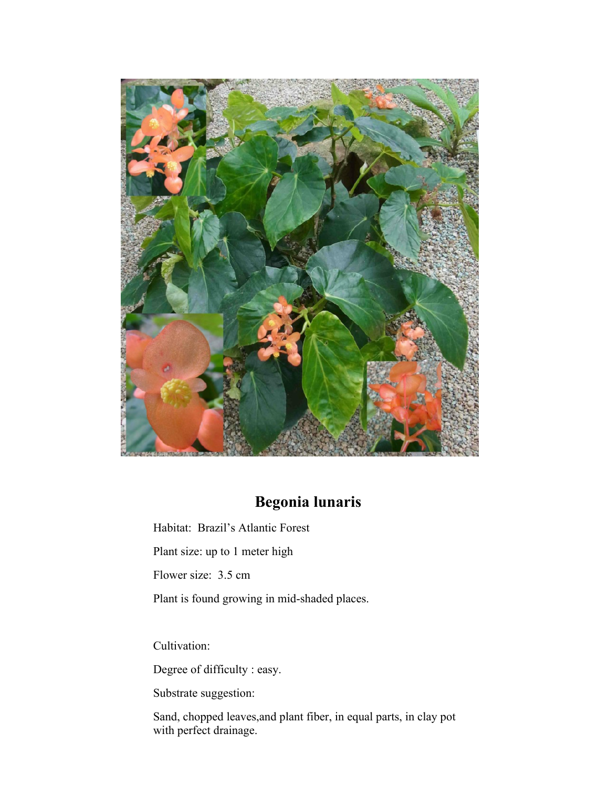

## **Begonia lunaris**

Habitat: Brazil's Atlantic Forest

Plant size: up to 1 meter high

Flower size: 3.5 cm

Plant is found growing in mid-shaded places.

Cultivation:

Degree of difficulty : easy.

Substrate suggestion:

Sand, chopped leaves,and plant fiber, in equal parts, in clay pot with perfect drainage.